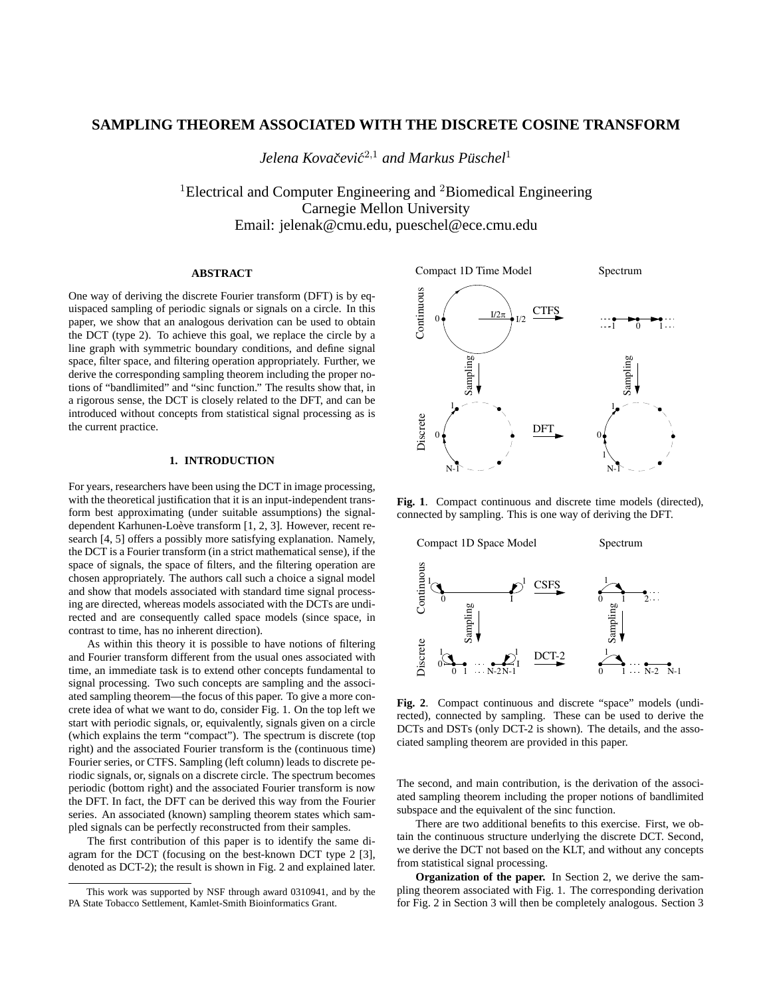# **SAMPLING THEOREM ASSOCIATED WITH THE DISCRETE COSINE TRANSFORM**

 $Jelena \ Kovačević<sup>2,1</sup>$  and Markus Püschel<sup>1</sup>

<sup>1</sup>Electrical and Computer Engineering and <sup>2</sup>Biomedical Engineering Carnegie Mellon University Email: jelenak@cmu.edu, pueschel@ece.cmu.edu

# **ABSTRACT**

One way of deriving the discrete Fourier transform (DFT) is by equispaced sampling of periodic signals or signals on a circle. In this paper, we show that an analogous derivation can be used to obtain the DCT (type 2). To achieve this goal, we replace the circle by a line graph with symmetric boundary conditions, and define signal space, filter space, and filtering operation appropriately. Further, we derive the corresponding sampling theorem including the proper notions of "bandlimited" and "sinc function." The results show that, in a rigorous sense, the DCT is closely related to the DFT, and can be introduced without concepts from statistical signal processing as is the current practice.

### **1. INTRODUCTION**

For years, researchers have been using the DCT in image processing, with the theoretical justification that it is an input-independent transform best approximating (under suitable assumptions) the signaldependent Karhunen-Loève transform [1, 2, 3]. However, recent research [4, 5] offers a possibly more satisfying explanation. Namely, the DCT is a Fourier transform (in a strict mathematical sense), if the space of signals, the space of filters, and the filtering operation are chosen appropriately. The authors call such a choice a signal model and show that models associated with standard time signal processing are directed, whereas models associated with the DCTs are undirected and are consequently called space models (since space, in contrast to time, has no inherent direction).

As within this theory it is possible to have notions of filtering and Fourier transform different from the usual ones associated with time, an immediate task is to extend other concepts fundamental to signal processing. Two such concepts are sampling and the associated sampling theorem—the focus of this paper. To give a more concrete idea of what we want to do, consider Fig. 1. On the top left we start with periodic signals, or, equivalently, signals given on a circle (which explains the term "compact"). The spectrum is discrete (top right) and the associated Fourier transform is the (continuous time) Fourier series, or CTFS. Sampling (left column) leads to discrete periodic signals, or, signals on a discrete circle. The spectrum becomes periodic (bottom right) and the associated Fourier transform is now the DFT. In fact, the DFT can be derived this way from the Fourier series. An associated (known) sampling theorem states which sampled signals can be perfectly reconstructed from their samples.

The first contribution of this paper is to identify the same diagram for the DCT (focusing on the best-known DCT type 2 [3], denoted as DCT-2); the result is shown in Fig. 2 and explained later.



**Fig. 1**. Compact continuous and discrete time models (directed), connected by sampling. This is one way of deriving the DFT.



**Fig. 2**. Compact continuous and discrete "space" models (undirected), connected by sampling. These can be used to derive the DCTs and DSTs (only DCT-2 is shown). The details, and the associated sampling theorem are provided in this paper.

The second, and main contribution, is the derivation of the associated sampling theorem including the proper notions of bandlimited subspace and the equivalent of the sinc function.

There are two additional benefits to this exercise. First, we obtain the continuous structure underlying the discrete DCT. Second, we derive the DCT not based on the KLT, and without any concepts from statistical signal processing.

**Organization of the paper.** In Section 2, we derive the sampling theorem associated with Fig. 1. The corresponding derivation for Fig. 2 in Section 3 will then be completely analogous. Section 3

This work was supported by NSF through award 0310941, and by the PA State Tobacco Settlement, Kamlet-Smith Bioinformatics Grant.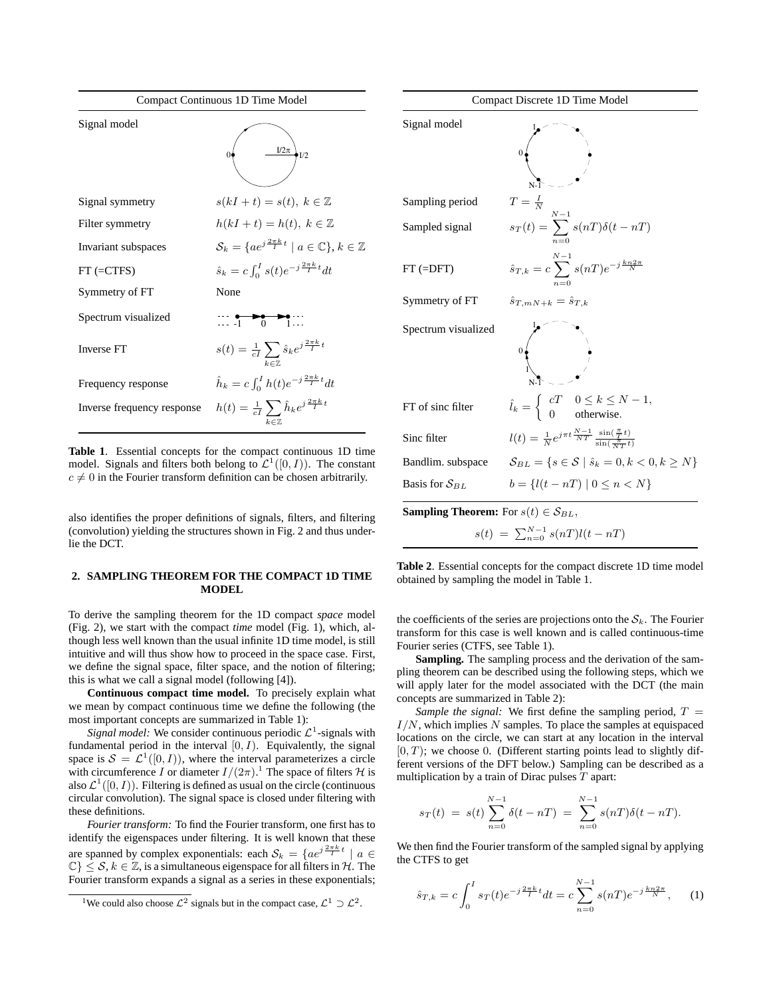| Compact Continuous 1D Time Model |                                                                                         |
|----------------------------------|-----------------------------------------------------------------------------------------|
| Signal model                     | $1/2\pi$                                                                                |
| Signal symmetry                  | $s(kI + t) = s(t), k \in \mathbb{Z}$                                                    |
| Filter symmetry                  | $h(kI+t) = h(t), k \in \mathbb{Z}$                                                      |
| Invariant subspaces              | $\mathcal{S}_k = \{ae^{j\frac{2\pi k}{I}t} \mid a \in \mathbb{C}\}, k \in \mathbb{Z}$   |
| $FT$ (=CTFS)                     | $\hat{s}_k = c \int_0^I s(t) e^{-j\frac{2\pi k}{I}t} dt$                                |
| Symmetry of FT                   | None                                                                                    |
| Spectrum visualized              | $\cdots$ $\begin{array}{c} \bullet \rightarrow \bullet \rightarrow \bullet \end{array}$ |
| <b>Inverse FT</b>                | $s(t) = \frac{1}{cI} \sum \hat{s}_k e^{j\frac{2\pi k}{I}t}$<br>$k \in \mathbb{Z}$       |
| Frequency response               | $\hat{h}_k = c \int_0^I h(t) e^{-j\frac{2\pi k}{I}t} dt$                                |
| Inverse frequency response       | $h(t) = \frac{1}{cI} \sum \hat{h}_k e^{j\frac{2\pi k}{I}t}$<br>$k\in\mathbb{Z}$         |

**Table 1**. Essential concepts for the compact continuous 1D time model. Signals and filters both belong to  $\mathcal{L}^1([0, I))$ . The constant  $c \neq 0$  in the Fourier transform definition can be chosen arbitrarily.

also identifies the proper definitions of signals, filters, and filtering (convolution) yielding the structures shown in Fig. 2 and thus underlie the DCT.

## **2. SAMPLING THEOREM FOR THE COMPACT 1D TIME MODEL**

To derive the sampling theorem for the 1D compact *space* model (Fig. 2), we start with the compact *time* model (Fig. 1), which, although less well known than the usual infinite 1D time model, is still intuitive and will thus show how to proceed in the space case. First, we define the signal space, filter space, and the notion of filtering; this is what we call a signal model (following [4]).

**Continuous compact time model.** To precisely explain what we mean by compact continuous time we define the following (the most important concepts are summarized in Table 1):

Signal model: We consider continuous periodic  $\mathcal{L}^1$ -signals with fundamental period in the interval  $[0, I)$ . Equivalently, the signal space is  $S = \mathcal{L}^1([0, I))$ , where the interval parameterizes a circle with circumference I or diameter  $I/(2\pi)$ .<sup>1</sup> The space of filters H is also  $\mathcal{L}^1([0, I))$ . Filtering is defined as usual on the circle (continuous circular convolution). The signal space is closed under filtering with these definitions.

*Fourier transform:* To find the Fourier transform, one first has to identify the eigenspaces under filtering. It is well known that these are spanned by complex exponentials: each  $S_k = \{ae^{j\frac{2\pi k}{I}t} \mid a \in$  $\mathbb{C}\}\leq\mathcal{S}, k\in\mathbb{Z}$ , is a simultaneous eigenspace for all filters in  $\mathcal{H}$ . The Fourier transform expands a signal as a series in these exponentials;

| Compact Discrete 1D Time Model                   |                                                                                                   |  |
|--------------------------------------------------|---------------------------------------------------------------------------------------------------|--|
| Signal model                                     | 0                                                                                                 |  |
| Sampling period                                  |                                                                                                   |  |
| Sampled signal                                   | T = $\frac{I}{N}$<br>$s_T(t) = \sum_{n=0}^{N-1} s(nT)\delta(t - nT)$                              |  |
| $FT (=DFT)$                                      | $\hat{s}_{T,k} = c \sum_{n=0}^{N-1} s(nT) e^{-j\frac{k n 2\pi}{N}}$                               |  |
| Symmetry of FT                                   | $\hat{s}_{T,mN+k} = \hat{s}_{T,k}$                                                                |  |
| Spectrum visualized                              |                                                                                                   |  |
| FT of sinc filter                                | $\hat{l}_k = \begin{cases} cT & 0 \leq k \leq N-1, \\ 0 & \text{otherwise.} \end{cases}$          |  |
| Sinc filter                                      | $l(t) = \frac{1}{N}e^{j\pi t \frac{N-1}{NT}} \frac{\sin(\frac{\pi}{T}t)}{\sin(\frac{\pi}{N T}t)}$ |  |
| Bandlim. subspace                                | $S_{BL} = \{ s \in S \mid \hat{s}_k = 0, k < 0, k \geq N \}$                                      |  |
| Basis for $S_{BL}$                               | $b = \{l(t - nT)   0 \leq n < N\}$                                                                |  |
| <b>Sampling Theorem:</b> For $s(t) \in S_{BL}$ , |                                                                                                   |  |
| $s(t) = \sum_{n=0}^{N-1} s(nT)l(t - nT)$         |                                                                                                   |  |

**Table 2**. Essential concepts for the compact discrete 1D time model obtained by sampling the model in Table 1.

the coefficients of the series are projections onto the  $S_k$ . The Fourier transform for this case is well known and is called continuous-time Fourier series (CTFS, see Table 1).

**Sampling.** The sampling process and the derivation of the sampling theorem can be described using the following steps, which we will apply later for the model associated with the DCT (the main concepts are summarized in Table 2):

*Sample the signal:* We first define the sampling period,  $T =$  $I/N$ , which implies N samples. To place the samples at equispaced locations on the circle, we can start at any location in the interval  $[0, T)$ ; we choose 0. (Different starting points lead to slightly different versions of the DFT below.) Sampling can be described as a multiplication by a train of Dirac pulses  $T$  apart:

$$
s_T(t) = s(t) \sum_{n=0}^{N-1} \delta(t - nT) = \sum_{n=0}^{N-1} s(nT) \delta(t - nT).
$$

We then find the Fourier transform of the sampled signal by applying the CTFS to get

$$
\hat{s}_{T,k} = c \int_0^I s_T(t) e^{-j\frac{2\pi k}{I}t} dt = c \sum_{n=0}^{N-1} s(nT) e^{-j\frac{k n 2\pi}{N}}, \quad (1)
$$

<sup>&</sup>lt;sup>1</sup>We could also choose  $\mathcal{L}^2$  signals but in the compact case,  $\mathcal{L}^1 \supset \mathcal{L}^2$ .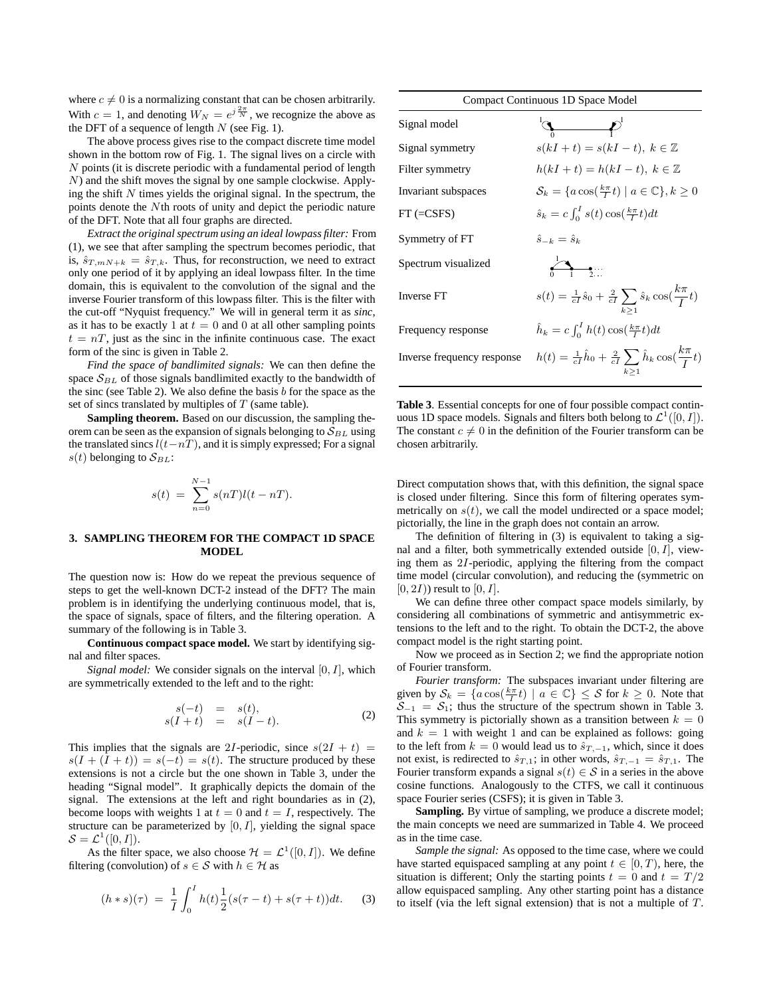where  $c \neq 0$  is a normalizing constant that can be chosen arbitrarily. With  $c = 1$ , and denoting  $W_N = e^{j \frac{2\pi}{N}}$ , we recognize the above as the DFT of a sequence of length  $N$  (see Fig. 1).

The above process gives rise to the compact discrete time model shown in the bottom row of Fig. 1. The signal lives on a circle with  $N$  points (it is discrete periodic with a fundamental period of length  $N$ ) and the shift moves the signal by one sample clockwise. Applying the shift  $N$  times yields the original signal. In the spectrum, the points denote the Nth roots of unity and depict the periodic nature of the DFT. Note that all four graphs are directed.

*Extract the original spectrum using an ideal lowpass filter:* From (1), we see that after sampling the spectrum becomes periodic, that is,  $\hat{s}_{T,mN+k} = \hat{s}_{T,k}$ . Thus, for reconstruction, we need to extract only one period of it by applying an ideal lowpass filter. In the time domain, this is equivalent to the convolution of the signal and the inverse Fourier transform of this lowpass filter. This is the filter with the cut-off "Nyquist frequency." We will in general term it as *sinc*, as it has to be exactly 1 at  $t = 0$  and 0 at all other sampling points  $t = nT$ , just as the sinc in the infinite continuous case. The exact form of the sinc is given in Table 2.

*Find the space of bandlimited signals:* We can then define the space  $S_{BL}$  of those signals bandlimited exactly to the bandwidth of the sinc (see Table 2). We also define the basis  $b$  for the space as the set of sincs translated by multiples of  $T$  (same table).

**Sampling theorem.** Based on our discussion, the sampling theorem can be seen as the expansion of signals belonging to  $S_{BL}$  using the translated sincs  $l(t-nT)$ , and it is simply expressed; For a signal  $s(t)$  belonging to  $S_{BL}$ :

$$
s(t) = \sum_{n=0}^{N-1} s(nT)l(t - nT).
$$

# **3. SAMPLING THEOREM FOR THE COMPACT 1D SPACE MODEL**

The question now is: How do we repeat the previous sequence of steps to get the well-known DCT-2 instead of the DFT? The main problem is in identifying the underlying continuous model, that is, the space of signals, space of filters, and the filtering operation. A summary of the following is in Table 3.

**Continuous compact space model.** We start by identifying signal and filter spaces.

*Signal model:* We consider signals on the interval  $[0, I]$ , which are symmetrically extended to the left and to the right:

$$
s(-t) = s(t),s(I+t) = s(I-t).
$$
 (2)

This implies that the signals are 2I-periodic, since  $s(2I + t)$  =  $s(I + (I + t)) = s(-t) = s(t)$ . The structure produced by these extensions is not a circle but the one shown in Table 3, under the heading "Signal model". It graphically depicts the domain of the signal. The extensions at the left and right boundaries as in (2), become loops with weights 1 at  $t = 0$  and  $t = I$ , respectively. The structure can be parameterized by  $[0, I]$ , yielding the signal space  $S = \mathcal{L}^1([0,I]).$ 

As the filter space, we also choose  $\mathcal{H} = \mathcal{L}^1([0, I])$ . We define filtering (convolution) of  $s \in S$  with  $h \in H$  as

$$
(h * s)(\tau) = \frac{1}{I} \int_0^I h(t) \frac{1}{2} (s(\tau - t) + s(\tau + t)) dt.
$$
 (3)

| Compact Continuous 1D Space Model |                                                                                     |
|-----------------------------------|-------------------------------------------------------------------------------------|
| Signal model                      | $\mathcal{P}$                                                                       |
| Signal symmetry                   | $s(kI + t) = s(kI - t), k \in \mathbb{Z}$                                           |
| Filter symmetry                   | $h(kI+t) = h(kI-t), k \in \mathbb{Z}$                                               |
| Invariant subspaces               | $\mathcal{S}_k = \{a\cos(\frac{k\pi}{l}t) \mid a \in \mathbb{C}\}, k \geq 0$        |
| $FT$ (=CSFS)                      | $\hat{s}_k = c \int_0^I s(t) \cos(\frac{k\pi}{I}t) dt$                              |
| Symmetry of FT                    | $\hat{s}_{-k} = \hat{s}_k$                                                          |
| Spectrum visualized               | $\leftarrow$                                                                        |
| Inverse FT                        | $s(t)=\frac{1}{cI}\hat{s}_0+\frac{2}{cI}\sum \hat{s}_k \cos(\frac{k\pi}{I}t)$       |
| Frequency response                | $\hat{h}_k = c \int_0^I h(t) \cos(\frac{k\pi}{l}t) dt$                              |
| Inverse frequency response        | $h(t) = \frac{1}{cI} \hat{h}_0 + \frac{2}{cI} \sum \hat{h}_k \cos(\frac{k\pi}{I}t)$ |

**Table 3**. Essential concepts for one of four possible compact continuous 1D space models. Signals and filters both belong to  $\mathcal{L}^1([0, I]).$ The constant  $c \neq 0$  in the definition of the Fourier transform can be chosen arbitrarily.

Direct computation shows that, with this definition, the signal space is closed under filtering. Since this form of filtering operates symmetrically on  $s(t)$ , we call the model undirected or a space model; pictorially, the line in the graph does not contain an arrow.

The definition of filtering in (3) is equivalent to taking a signal and a filter, both symmetrically extended outside  $[0, I]$ , viewing them as 2I-periodic, applying the filtering from the compact time model (circular convolution), and reducing the (symmetric on  $[0, 2I)$  result to  $[0, I]$ .

We can define three other compact space models similarly, by considering all combinations of symmetric and antisymmetric extensions to the left and to the right. To obtain the DCT-2, the above compact model is the right starting point.

Now we proceed as in Section 2; we find the appropriate notion of Fourier transform.

*Fourier transform:* The subspaces invariant under filtering are given by  $S_k = \{a \cos(\frac{k\pi}{l}t) \mid a \in \mathbb{C}\}\leq S$  for  $k \geq 0$ . Note that  $S_{-1} = S_1$ ; thus the structure of the spectrum shown in Table 3. This symmetry is pictorially shown as a transition between  $k = 0$ and  $k = 1$  with weight 1 and can be explained as follows: going to the left from  $k = 0$  would lead us to  $\hat{s}_{T, -1}$ , which, since it does not exist, is redirected to  $\hat{s}_{T,1}$ ; in other words,  $\hat{s}_{T,-1} = \hat{s}_{T,1}$ . The Fourier transform expands a signal  $s(t) \in S$  in a series in the above cosine functions. Analogously to the CTFS, we call it continuous space Fourier series (CSFS); it is given in Table 3.

**Sampling.** By virtue of sampling, we produce a discrete model; the main concepts we need are summarized in Table 4. We proceed as in the time case.

*Sample the signal:* As opposed to the time case, where we could have started equispaced sampling at any point  $t \in [0, T)$ , here, the situation is different; Only the starting points  $t = 0$  and  $t = T/2$ allow equispaced sampling. Any other starting point has a distance to itself (via the left signal extension) that is not a multiple of T.